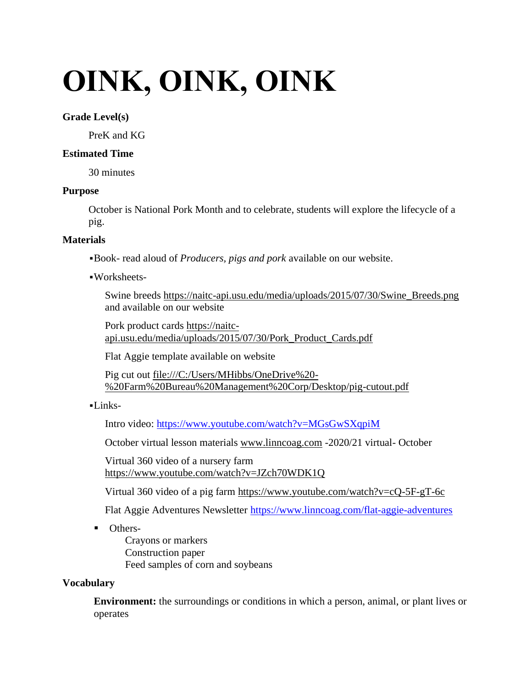# **OINK, OINK, OINK**

## **Grade Level(s)**

PreK and KG

# **Estimated Time**

30 minutes

# **Purpose**

October is National Pork Month and to celebrate, students will explore the lifecycle of a pig.

# **Materials**

▪Book- read aloud of *Producers, pigs and pork* available on our website.

▪Worksheets-

Swine breeds [https://naitc-api.usu.edu/media/uploads/2015/07/30/Swine\\_Breeds.png](https://naitc-api.usu.edu/media/uploads/2015/07/30/Swine_Breeds.png) and available on our website

Pork product cards [https://naitc](https://naitc-api.usu.edu/media/uploads/2015/07/30/Pork_Product_Cards.pdf)[api.usu.edu/media/uploads/2015/07/30/Pork\\_Product\\_Cards.pdf](https://naitc-api.usu.edu/media/uploads/2015/07/30/Pork_Product_Cards.pdf) 

Flat Aggie template available on website

Pig cut out [file:///C:/Users/MHibbs/OneDrive%20-](file:///C:/Users/MHibbs/OneDrive%20-%20Farm%20Bureau%20Management%20Corp/Desktop/pig-cutout.pdf) [%20Farm%20Bureau%20Management%20Corp/Desktop/pig-cutout.pdf](file:///C:/Users/MHibbs/OneDrive%20-%20Farm%20Bureau%20Management%20Corp/Desktop/pig-cutout.pdf)

▪Links-

Intro video:<https://www.youtube.com/watch?v=MGsGwSXqpiM>

October virtual lesson materials [www.linncoag.com](http://www.linncoag.com/) -2020/21 virtual- October

Virtual 360 video of a nursery farm <https://www.youtube.com/watch?v=JZch70WDK1Q>

Virtual 360 video of a pig farm<https://www.youtube.com/watch?v=cQ-5F-gT-6c>

Flat Aggie Adventures Newsletter<https://www.linncoag.com/flat-aggie-adventures>

■ Others-

Crayons or markers Construction paper Feed samples of corn and soybeans

# **Vocabulary**

**Environment:** the surroundings or conditions in which a person, animal, or plant lives or operates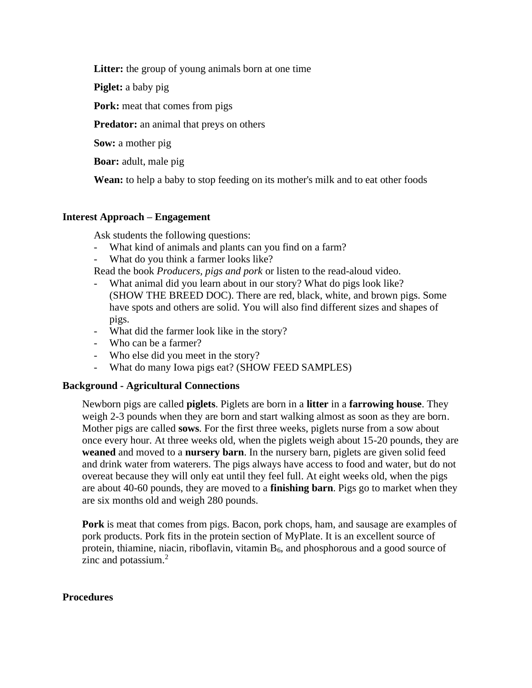**Litter:** the group of young animals born at one time

**Piglet:** a baby pig

**Pork:** meat that comes from pigs

**Predator:** an animal that preys on others

**Sow:** a mother pig

**Boar:** adult, male pig

**Wean:** to help a baby to stop feeding on its mother's milk and to eat other foods

# **Interest Approach – Engagement**

Ask students the following questions:

- What kind of animals and plants can you find on a farm?
- What do you think a farmer looks like?

Read the book *Producers, pigs and pork* or listen to the read-aloud video.

- What animal did you learn about in our story? What do pigs look like? (SHOW THE BREED DOC). There are red, black, white, and brown pigs. Some have spots and others are solid. You will also find different sizes and shapes of pigs.
- What did the farmer look like in the story?
- Who can be a farmer?
- Who else did you meet in the story?
- What do many Iowa pigs eat? (SHOW FEED SAMPLES)

#### **Background - Agricultural Connections**

Newborn pigs are called **piglets**. Piglets are born in a **litter** in a **farrowing house**. They weigh 2-3 pounds when they are born and start walking almost as soon as they are born. Mother pigs are called **sows**. For the first three weeks, piglets nurse from a sow about once every hour. At three weeks old, when the piglets weigh about 15-20 pounds, they are **weaned** and moved to a **nursery barn**. In the nursery barn, piglets are given solid feed and drink water from waterers. The pigs always have access to food and water, but do not overeat because they will only eat until they feel full. At eight weeks old, when the pigs are about 40-60 pounds, they are moved to a **finishing barn**. Pigs go to market when they are six months old and weigh 280 pounds.

**Pork** is meat that comes from pigs. Bacon, pork chops, ham, and sausage are examples of pork products. Pork fits in the protein section of MyPlate. It is an excellent source of protein, thiamine, niacin, riboflavin, vitamin  $B_6$ , and phosphorous and a good source of zinc and potassium.<sup>2</sup>

#### **Procedures**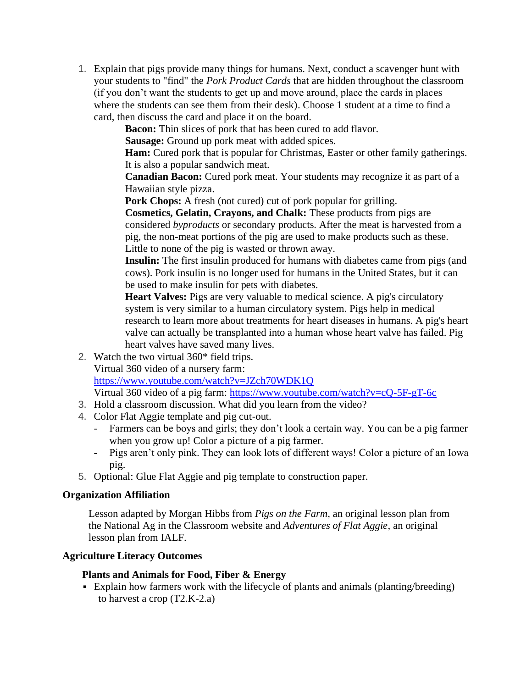1. Explain that pigs provide many things for humans. Next, conduct a scavenger hunt with your students to "find" the *Pork Product Cards* that are hidden throughout the classroom (if you don't want the students to get up and move around, place the cards in places where the students can see them from their desk). Choose 1 student at a time to find a card, then discuss the card and place it on the board.

**Bacon:** Thin slices of pork that has been cured to add flavor.

**Sausage:** Ground up pork meat with added spices.

**Ham:** Cured pork that is popular for Christmas, Easter or other family gatherings. It is also a popular sandwich meat.

**Canadian Bacon:** Cured pork meat. Your students may recognize it as part of a Hawaiian style pizza.

**Pork Chops:** A fresh (not cured) cut of pork popular for grilling.

**Cosmetics, Gelatin, Crayons, and Chalk:** These products from pigs are considered *byproducts* or secondary products. After the meat is harvested from a pig, the non-meat portions of the pig are used to make products such as these. Little to none of the pig is wasted or thrown away.

**Insulin:** The first insulin produced for humans with diabetes came from pigs (and cows). Pork insulin is no longer used for humans in the United States, but it can be used to make insulin for pets with diabetes.

**Heart Valves:** Pigs are very valuable to medical science. A pig's circulatory system is very similar to a human circulatory system. Pigs help in medical research to learn more about treatments for heart diseases in humans. A pig's heart valve can actually be transplanted into a human whose heart valve has failed. Pig heart valves have saved many lives.

2. Watch the two virtual 360\* field trips. Virtual 360 video of a nursery farm: <https://www.youtube.com/watch?v=JZch70WDK1Q>

Virtual 360 video of a pig farm:<https://www.youtube.com/watch?v=cQ-5F-gT-6c>

- 3. Hold a classroom discussion. What did you learn from the video?
- 4. Color Flat Aggie template and pig cut-out.
	- Farmers can be boys and girls; they don't look a certain way. You can be a pig farmer when you grow up! Color a picture of a pig farmer.
	- Pigs aren't only pink. They can look lots of different ways! Color a picture of an Iowa pig.
- 5. Optional: Glue Flat Aggie and pig template to construction paper.

#### **Organization Affiliation**

Lesson adapted by Morgan Hibbs from *Pigs on the Farm*, an original lesson plan from the National Ag in the Classroom website and *Adventures of Flat Aggie*, an original lesson plan from IALF.

# **Agriculture Literacy Outcomes**

# **Plants and Animals for Food, Fiber & Energy**

▪ Explain how farmers work with the lifecycle of plants and animals (planting/breeding) to harvest a crop (T2.K-2.a)